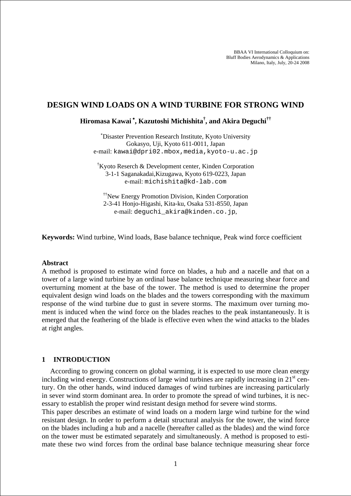BBAA VI International Colloquium on: Bluff Bodies Aerodynamics & Applications Milano, Italy, July, 20-24 2008

# **DESIGN WIND LOADS ON A WIND TURBINE FOR STRONG WIND**

**Hiromasa Kawai** <sup>∗</sup> **, Kazutoshi Michishita† , and Akira Deguchi††**

∗ Disaster Prevention Research Institute, Kyoto University Gokasyo, Uji, Kyoto 611-0011, Japan e-mail: kawai@dpri02.mbox,media,kyoto-u.ac.jp

† Kyoto Reserch & Development center, Kinden Corporation 3-1-1 Saganakadai,Kizugawa, Kyoto 619-0223, Japan e-mail: michishita@kd-lab.com

††New Energy Promotion Division, Kinden Corporation 2-3-41 Honjo-Higashi, Kita-ku, Osaka 531-8550, Japan e-mail: deguchi\_akira@kinden.co.jp,

**Keywords:** Wind turbine, Wind loads, Base balance technique, Peak wind force coefficient

## **Abstract**

A method is proposed to estimate wind force on blades, a hub and a nacelle and that on a tower of a large wind turbine by an ordinal base balance technique measuring shear force and overturning moment at the base of the tower. The method is used to determine the proper equivalent design wind loads on the blades and the towers corresponding with the maximum response of the wind turbine due to gust in severe storms. The maximum over turning moment is induced when the wind force on the blades reaches to the peak instantaneously. It is emerged that the feathering of the blade is effective even when the wind attacks to the blades at right angles.

## **1 INTRODUCTION**

According to growing concern on global warming, it is expected to use more clean energy including wind energy. Constructions of large wind turbines are rapidly increasing in  $21<sup>st</sup>$  century. On the other hands, wind induced damages of wind turbines are increasing particularly in sever wind storm dominant area. In order to promote the spread of wind turbines, it is necessary to establish the proper wind resistant design method for severe wind storms.

This paper describes an estimate of wind loads on a modern large wind turbine for the wind resistant design. In order to perform a detail structural analysis for the tower, the wind force on the blades including a hub and a nacelle (hereafter called as the blades) and the wind force on the tower must be estimated separately and simultaneously. A method is proposed to estimate these two wind forces from the ordinal base balance technique measuring shear force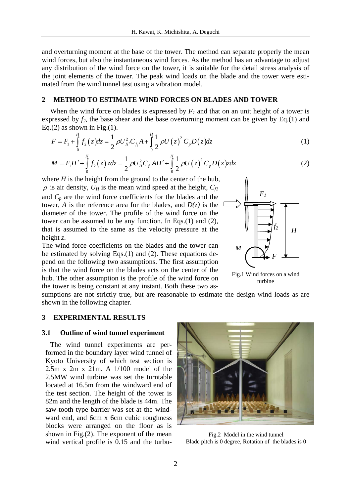and overturning moment at the base of the tower. The method can separate properly the mean wind forces, but also the instantaneous wind forces. As the method has an advantage to adjust any distribution of the wind force on the tower, it is suitable for the detail stress analysis of the joint elements of the tower. The peak wind loads on the blade and the tower were estimated from the wind tunnel test using a vibration model.

# **2 METHOD TO ESTIMATE WIND FORCES ON BLADES AND TOWER**

When the wind force on blades is expressed by  $F_I$  and that on an unit height of a tower is expressed by  $f_2$ , the base shear and the base overturning moment can be given by Eq.(1) and Eq.(2) as shown in Fig.(1).

$$
F = F_1 + \int_0^H f_2(z) dz = \frac{1}{2} \rho U_H^2 C_{f_1} A + \int_0^H \frac{1}{2} \rho U(z)^2 C_p D(z) dz
$$
 (1)

$$
M = F_1 H' + \int_0^H f_2(z) z dz = \frac{1}{2} \rho U_H^2 C_{f_1} A H' + \int_0^H \frac{1}{2} \rho U(z)^2 C_p D(z) z dz
$$
 (2)

where  $H$  is the height from the ground to the center of the hub,  $\rho$  is air density,  $U_H$  is the mean wind speed at the height,  $C_{fl}$ and  $C_p$  are the wind force coefficients for the blades and the tower, *A* is the reference area for the blades, and  $D(z)$  is the diameter of the tower. The profile of the wind force on the tower can be assumed to be any function. In Eqs.(1) and (2), that is assumed to the same as the velocity pressure at the height *z*.

The wind force coefficients on the blades and the tower can be estimated by solving Eqs.(1) and (2). These equations depend on the following two assumptions. The first assumption is that the wind force on the blades acts on the center of the hub. The other assumption is the profile of the wind force on the tower is being constant at any instant. Both these two as-



Fig.1 Wind forces on a wind turbine

sumptions are not strictly true, but are reasonable to estimate the design wind loads as are shown in the following chapter.

## **3 EXPERIMENTAL RESULTS**

## **3.1 Outline of wind tunnel experiment**

The wind tunnel experiments are performed in the boundary layer wind tunnel of Kyoto University of which test section is 2.5m x 2m x 21m. A 1/100 model of the 2.5MW wind turbine was set the turntable located at 16.5m from the windward end of the test section. The height of the tower is 82m and the length of the blade is 44m. The saw-tooth type barrier was set at the windward end, and 6cm x 6cm cubic roughness blocks were arranged on the floor as is shown in Fig.(2). The exponent of the mean wind vertical profile is 0.15 and the turbu-



Fig.2 Model in the wind tunnel Blade pitch is 0 degree, Rotation of the blades is 0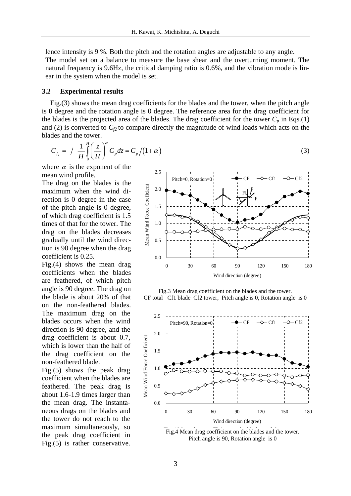lence intensity is 9 %. Both the pitch and the rotation angles are adjustable to any angle. The model set on a balance to measure the base shear and the overturning moment. The natural frequency is 9.6Hz, the critical damping ratio is 0.6%, and the vibration mode is linear in the system when the model is set.

## **3.2 Experimental results**

Fig.(3) shows the mean drag coefficients for the blades and the tower, when the pitch angle is 0 degree and the rotation angle is 0 degree. The reference area for the drag coefficient for the blades is the projected area of the blades. The drag coefficient for the tower  $C_p$  in Eqs.(1) and (2) is converted to  $C_{f2}$  to compare directly the magnitude of wind loads which acts on the blades and the tower.

$$
C_{f_2} = / \frac{1}{H} \int_0^H \left(\frac{z}{H}\right)^{\alpha} C_p dz = C_p / (1 + \alpha)
$$
 (3)

where  $\alpha$  is the exponent of the mean wind profile.

The drag on the blades is the maximum when the wind direction is 0 degree in the case of the pitch angle is 0 degree, of which drag coefficient is 1.5 times of that for the tower. The drag on the blades decreases gradually until the wind direction is 90 degree when the drag coefficient is 0.25.

Fig.(4) shows the mean drag coefficients when the blades are feathered, of which pitch angle is 90 degree. The drag on the blade is about 20% of that on the non-feathered blades. The maximum drag on the blades occurs when the wind direction is 90 degree, and the drag coefficient is about 0.7, which is lower than the half of the drag coefficient on the non-feathered blade.

Fig.(5) shows the peak drag coefficient when the blades are feathered. The peak drag is about 1.6-1.9 times larger than the mean drag. The instantaneous drags on the blades and the tower do not reach to the maximum simultaneously, so the peak drag coefficient in Fig.(5) is rather conservative.



Fig.3 Mean drag coefficient on the blades and the tower. CF total Cf1 blade Cf2 tower, Pitch angle is 0, Rotation angle is 0



Fig.4 Mean drag coefficient on the blades and the tower.<br>Pitch angle is 90, Rotation angle is 0. Pitch angle is 90, Rotation angle is 0